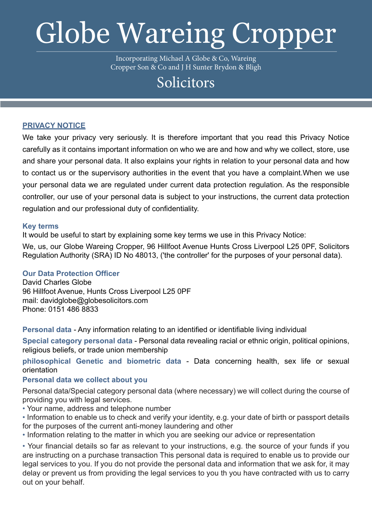# Globe Wareing Cropper

Incorporating Michael A Globe & Co, Wareing Cropper Son & Co and J H Sunter Brydon & Bligh

# Solicitors

# **PRIVACY NOTICE**

We take your privacy very seriously. It is therefore important that you read this Privacy Notice carefully as it contains important information on who we are and how and why we collect, store, use and share your personal data. It also explains your rights in relation to your personal data and how to contact us or the supervisory authorities in the event that you have a complaint.When we use your personal data we are regulated under current data protection regulation. As the responsible controller, our use of your personal data is subject to your instructions, the current data protection regulation and our professional duty of confidentiality.

# **Key terms**

It would be useful to start by explaining some key terms we use in this Privacy Notice:

We, us, our Globe Wareing Cropper, 96 Hillfoot Avenue Hunts Cross Liverpool L25 0PF, Solicitors Regulation Authority (SRA) ID No 48013, ('the controller' for the purposes of your personal data).

# **Our Data Protection Officer**

David Charles Globe 96 Hillfoot Avenue, Hunts Cross Liverpool L25 0PF mail: davidglobe@globesolicitors.com Phone: 0151 486 8833

**Personal data** - Any information relating to an identified or identifiable living individual

**Special category personal data** - Personal data revealing racial or ethnic origin, political opinions, religious beliefs, or trade union membership

**philosophical Genetic and biometric data** - Data concerning health, sex life or sexual orientation

# **Personal data we collect about you**

Personal data/Special category personal data (where necessary) we will collect during the course of providing you with legal services.

• Your name, address and telephone number

• Information to enable us to check and verify your identity, e.g. your date of birth or passport details for the purposes of the current anti-money laundering and other

• Information relating to the matter in which you are seeking our advice or representation

• Your financial details so far as relevant to your instructions, e.g. the source of your funds if you are instructing on a purchase transaction This personal data is required to enable us to provide our legal services to you. If you do not provide the personal data and information that we ask for, it may delay or prevent us from providing the legal services to you th you have contracted with us to carry out on your behalf.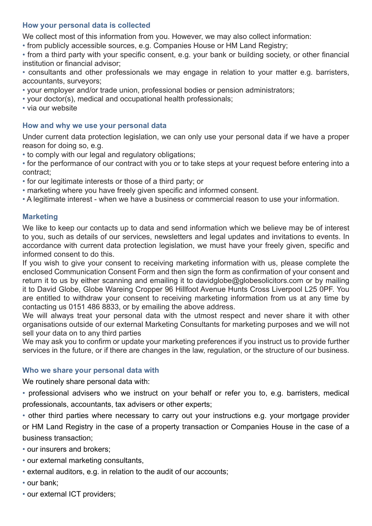# **How your personal data is collected**

We collect most of this information from you. However, we may also collect information:

• from publicly accessible sources, e.g. Companies House or HM Land Registry;

• from a third party with your specific consent, e.g. your bank or building society, or other financial institution or financial advisor;

• consultants and other professionals we may engage in relation to your matter e.g. barristers, accountants, surveyors;

- your employer and/or trade union, professional bodies or pension administrators;
- your doctor(s), medical and occupational health professionals;
- via our website

#### **How and why we use your personal data**

Under current data protection legislation, we can only use your personal data if we have a proper reason for doing so, e.g.

- to comply with our legal and regulatory obligations;
- for the performance of our contract with you or to take steps at your request before entering into a contract;
- for our legitimate interests or those of a third party; or
- marketing where you have freely given specific and informed consent.
- A legitimate interest when we have a business or commercial reason to use your information.

# **Marketing**

We like to keep our contacts up to data and send information which we believe may be of interest to you, such as details of our services, newsletters and legal updates and invitations to events. In accordance with current data protection legislation, we must have your freely given, specific and informed consent to do this.

If you wish to give your consent to receiving marketing information with us, please complete the enclosed Communication Consent Form and then sign the form as confirmation of your consent and return it to us by either scanning and emailing it to davidglobe@globesolicitors.com or by mailing it to David Globe, Globe Wareing Cropper 96 Hillfoot Avenue Hunts Cross Liverpool L25 0PF. You are entitled to withdraw your consent to receiving marketing information from us at any time by contacting us 0151 486 8833, or by emailing the above address.

We will always treat your personal data with the utmost respect and never share it with other organisations outside of our external Marketing Consultants for marketing purposes and we will not sell your data on to any third parties

We may ask you to confirm or update your marketing preferences if you instruct us to provide further services in the future, or if there are changes in the law, regulation, or the structure of our business.

#### **Who we share your personal data with**

We routinely share personal data with:

• professional advisers who we instruct on your behalf or refer you to, e.g. barristers, medical professionals, accountants, tax advisers or other experts;

• other third parties where necessary to carry out your instructions e.g. your mortgage provider or HM Land Registry in the case of a property transaction or Companies House in the case of a business transaction;

• our insurers and brokers;

- our external marketing consultants,
- external auditors, e.g. in relation to the audit of our accounts;
- our bank;
- our external ICT providers;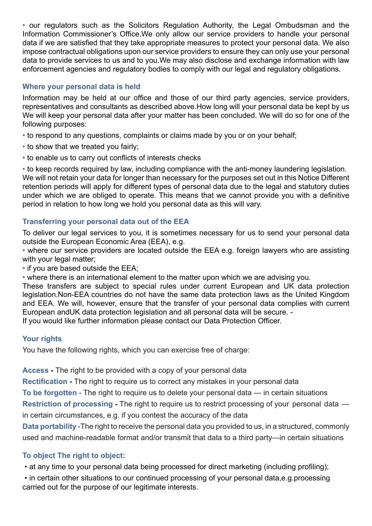• our regulators such as the Solicitors Regulation Authority, the Legal Ombudsman and the Information Commissioner's Office.We only allow our service providers to handle your personal data if we are satisfied that they take appropriate measures to protect your personal data. We also impose contractual obligations upon our service providers to ensure they can only use your personal data to provide services to us and to you.We may also disclose and exchange information with law enforcement agencies and regulatory bodies to comply with our legal and regulatory obligations.

# **Where your personal data is held**

Information may be held at our office and those of our third party agencies, service providers, representatives and consultants as described above.How long will your personal data be kept by us We will keep your personal data after your matter has been concluded. We will do so for one of the following purposes:

- to respond to any questions, complaints or claims made by you or on your behalf;
- to show that we treated you fairly;
- to enable us to carry out conflicts of interests checks

• to keep records required by law, including compliance with the anti-money laundering legislation. We will not retain your data for longer than necessary for the purposes set out in this Notice Different retention periods will apply for different types of personal data due to the legal and statutory duties under which we are obliged to operate. This means that we cannot provide you with a definitive period in relation to how long we hold you personal data as this will vary.

# **Transferring your personal data out of the EEA**

To deliver our legal services to you, it is sometimes necessary for us to send your personal data outside the European Economic Area (EEA), e.g.

• where our service providers are located outside the EEA e.g. foreign lawyers who are assisting with your legal matter;

• if you are based outside the EEA;

• where there is an international element to the matter upon which we are advising you.

These transfers are subject to special rules under current European and UK data protection legislation.Non-EEA countries do not have the same data protection laws as the United Kingdom and EEA. We will, however, ensure that the transfer of your personal data complies with current European andUK data protection legislation and all personal data will be secure. -

If you would like further information please contact our Data Protection Officer.

# **Your rights**

You have the following rights, which you can exercise free of charge:

**Access -** The right to be provided with a copy of your personal data

**Rectification -** The right to require us to correct any mistakes in your personal data

**To be forgotten** - The right to require us to delete your personal data — in certain situations

**Restriction of processing -** The right to require us to restrict processing of your personal data in certain circumstances, e.g. if you contest the accuracy of the data

**Data portability** -The right to receive the personal data you provided to us, in a structured, commonly used and machine-readable format and/or transmit that data to a third party—in certain situations

# **To object The right to object:**

• at any time to your personal data being processed for direct marketing (including profiling);

 • in certain other situations to our continued processing of your personal data,e.g.processing carried out for the purpose of our legitimate interests.